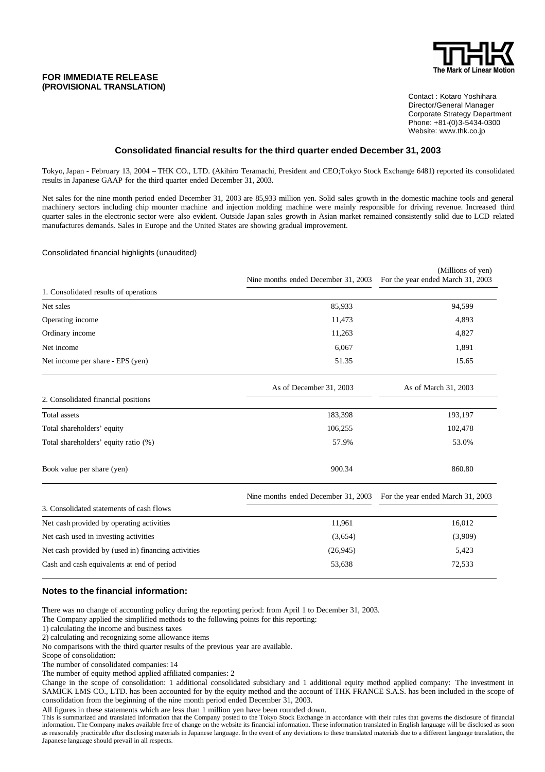### **FOR IMMEDIATE RELEASE (PROVISIONAL TRANSLATION)**



Contact : Kotaro Yoshihara Director/General Manager Corporate Strategy Department Phone: +81-(0)3-5434-0300 Website: www.thk.co.jp

## **Consolidated financial results for the third quarter ended December 31, 2003**

Tokyo, Japan - February 13, 2004 – THK CO., LTD. (Akihiro Teramachi, President and CEO;Tokyo Stock Exchange 6481) reported its consolidated results in Japanese GAAP for the third quarter ended December 31, 2003.

Net sales for the nine month period ended December 31, 2003 are 85,933 million yen. Solid sales growth in the domestic machine tools and general machinery sectors including chip mounter machine and injection molding machine were mainly responsible for driving revenue. Increased third quarter sales in the electronic sector were also evident. Outside Japan sales growth in Asian market remained consistently solid due to LCD related manufactures demands. Sales in Europe and the United States are showing gradual improvement.

#### Consolidated financial highlights (unaudited)

|                                                     | Nine months ended December 31, 2003 | (Millions of yen)<br>For the year ended March 31, 2003 |
|-----------------------------------------------------|-------------------------------------|--------------------------------------------------------|
| 1. Consolidated results of operations               |                                     |                                                        |
| Net sales                                           | 85,933                              | 94,599                                                 |
| Operating income                                    | 11,473                              | 4,893                                                  |
| Ordinary income                                     | 11,263                              | 4,827                                                  |
| Net income                                          | 6,067                               | 1,891                                                  |
| Net income per share - EPS (yen)                    | 51.35                               | 15.65                                                  |
|                                                     | As of December 31, 2003             | As of March 31, 2003                                   |
| 2. Consolidated financial positions                 |                                     |                                                        |
| Total assets                                        | 183,398                             | 193,197                                                |
| Total shareholders' equity                          | 106,255                             | 102,478                                                |
| Total shareholders' equity ratio (%)                | 57.9%                               | 53.0%                                                  |
| Book value per share (yen)                          | 900.34                              | 860.80                                                 |
|                                                     | Nine months ended December 31, 2003 | For the year ended March 31, 2003                      |
| 3. Consolidated statements of cash flows            |                                     |                                                        |
| Net cash provided by operating activities           | 11,961                              | 16,012                                                 |
| Net cash used in investing activities               | (3,654)                             | (3,909)                                                |
| Net cash provided by (used in) financing activities | (26, 945)                           | 5,423                                                  |
| Cash and cash equivalents at end of period          | 53,638                              | 72,533                                                 |

### **Notes to the financial information:**

There was no change of accounting policy during the reporting period: from April 1 to December 31, 2003.

The Company applied the simplified methods to the following points for this reporting:

1) calculating the income and business taxes

2) calculating and recognizing some allowance items

No comparisons with the third quarter results of the previous year are available.

Scope of consolidation:

The number of consolidated companies: 14

The number of equity method applied affiliated companies: 2

Change in the scope of consolidation: 1 additional consolidated subsidiary and 1 additional equity method applied company: The investment in SAMICK LMS CO., LTD. has been accounted for by the equity method and the account of THK FRANCE S.A.S. has been included in the scope of consolidation from the beginning of the nine month period ended December 31, 2003.

All figures in these statements which are less than 1 million yen have been rounded down.

This is summarized and translated information that the Company posted to the Tokyo Stock Exchange in accordance with their rules that governs the disclosure of financial information. The Company makes available free of change on the website its financial information. These information translated in English language will be disclosed as soon as reasonably practicable after disclosing materials in Japanese language. In the event of any deviations to these translated materials due to a different language translation, the Japanese language should prevail in all respects.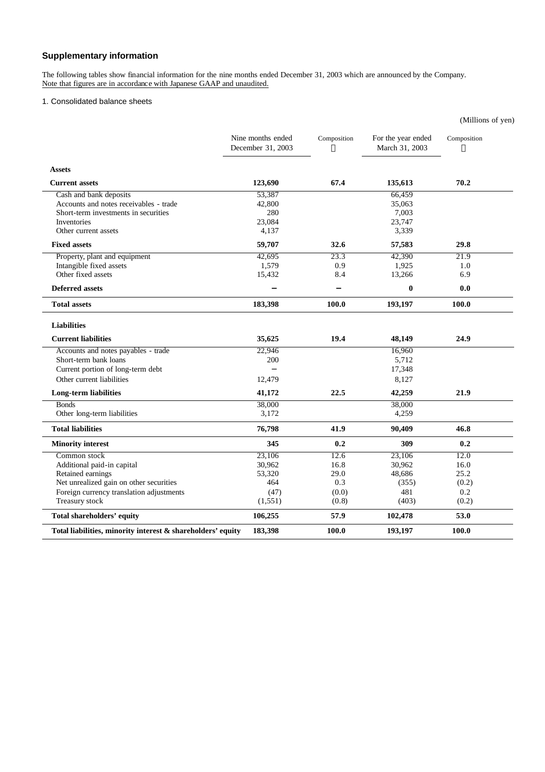# **Supplementary information**

The following tables show financial information for the nine months ended December 31, 2003 which are announced by the Company. Note that figures are in accordance with Japanese GAAP and unaudited.

# 1. Consolidated balance sheets

|                                                             |                                        |             |                                      | (Millions of yen) |
|-------------------------------------------------------------|----------------------------------------|-------------|--------------------------------------|-------------------|
|                                                             | Nine months ended<br>December 31, 2003 | Composition | For the year ended<br>March 31, 2003 | Composition       |
| <b>Assets</b>                                               |                                        |             |                                      |                   |
| <b>Current assets</b>                                       | 123,690                                | 67.4        | 135,613                              | 70.2              |
| Cash and bank deposits                                      | 53,387                                 |             | 66,459                               |                   |
| Accounts and notes receivables - trade                      | 42,800                                 |             | 35,063                               |                   |
| Short-term investments in securities                        | 280                                    |             | 7,003                                |                   |
| Inventories                                                 | 23,084                                 |             | 23,747                               |                   |
| Other current assets                                        | 4,137                                  |             | 3,339                                |                   |
| <b>Fixed assets</b>                                         | 59,707                                 | 32.6        | 57,583                               | 29.8              |
| Property, plant and equipment                               | 42,695                                 | 23.3        | 42,390                               | 21.9              |
| Intangible fixed assets                                     | 1,579                                  | 0.9         | 1,925                                | 1.0               |
| Other fixed assets                                          | 15,432                                 | 8.4         | 13,266                               | 6.9               |
| <b>Deferred assets</b>                                      |                                        |             | $\boldsymbol{0}$                     | 0.0               |
| <b>Total assets</b>                                         | 183,398                                | 100.0       | 193,197                              | 100.0             |
| <b>Liabilities</b>                                          |                                        |             |                                      |                   |
| <b>Current liabilities</b>                                  | 35,625                                 | 19.4        | 48,149                               | 24.9              |
| Accounts and notes payables - trade                         | 22,946                                 |             | 16,960                               |                   |
| Short-term bank loans                                       | 200                                    |             | 5,712                                |                   |
| Current portion of long-term debt                           |                                        |             | 17,348                               |                   |
| Other current liabilities                                   | 12,479                                 |             | 8,127                                |                   |
| Long-term liabilities                                       | 41,172                                 | 22.5        | 42,259                               | 21.9              |
| <b>Bonds</b>                                                | 38,000                                 |             | 38,000                               |                   |
| Other long-term liabilities                                 | 3,172                                  |             | 4,259                                |                   |
| <b>Total liabilities</b>                                    | 76,798                                 | 41.9        | 90,409                               | 46.8              |
| <b>Minority interest</b>                                    | 345                                    | 0.2         | 309                                  | 0.2               |
| Common stock                                                | 23,106                                 | 12.6        | 23,106                               | 12.0              |
| Additional paid-in capital                                  | 30,962                                 | 16.8        | 30,962                               | 16.0              |
| Retained earnings                                           | 53,320                                 | 29.0        | 48,686                               | 25.2              |
| Net unrealized gain on other securities                     | 464                                    | 0.3         | (355)                                | (0.2)             |
| Foreign currency translation adjustments                    | (47)                                   | (0.0)       | 481                                  | 0.2               |
| Treasury stock                                              | (1, 551)                               | (0.8)       | (403)                                | (0.2)             |
| <b>Total shareholders' equity</b>                           | 106,255                                | 57.9        | 102,478                              | 53.0              |
| Total liabilities, minority interest & shareholders' equity | 183,398                                | 100.0       | 193,197                              | 100.0             |
|                                                             |                                        |             |                                      |                   |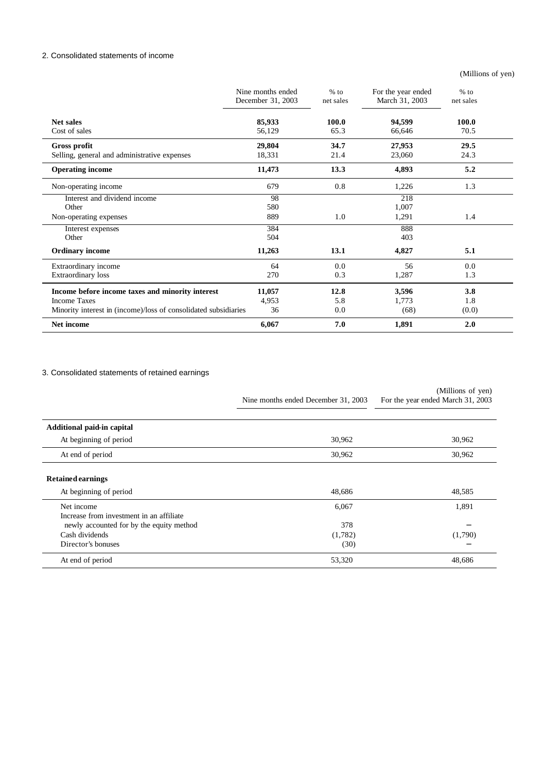# 2. Consolidated statements of income

(Millions of yen)

|                                                                 | Nine months ended<br>December 31, 2003 | $%$ to<br>net sales | For the year ended<br>March 31, 2003 | $%$ to<br>net sales |
|-----------------------------------------------------------------|----------------------------------------|---------------------|--------------------------------------|---------------------|
| <b>Net sales</b>                                                | 85,933                                 | 100.0               | 94,599                               | <b>100.0</b>        |
| Cost of sales                                                   | 56,129                                 | 65.3                | 66,646                               | 70.5                |
| <b>Gross profit</b>                                             | 29,804                                 | 34.7                | 27,953                               | 29.5                |
| Selling, general and administrative expenses                    | 18,331                                 | 21.4                | 23,060                               | 24.3                |
| <b>Operating income</b>                                         | 11,473                                 | 13.3                | 4,893                                | 5.2                 |
| Non-operating income                                            | 679                                    | 0.8                 | 1,226                                | 1.3                 |
| Interest and dividend income                                    | 98                                     |                     | 218                                  |                     |
| Other                                                           | 580                                    |                     | 1,007                                |                     |
| Non-operating expenses                                          | 889                                    | 1.0                 | 1,291                                | 1.4                 |
| Interest expenses                                               | 384                                    |                     | 888                                  |                     |
| Other                                                           | 504                                    |                     | 403                                  |                     |
| <b>Ordinary income</b>                                          | 11,263                                 | 13.1                | 4,827                                | 5.1                 |
| Extraordinary income                                            | 64                                     | 0.0                 | 56                                   | 0.0                 |
| Extraordinary loss                                              | 270                                    | 0.3                 | 1,287                                | 1.3                 |
| Income before income taxes and minority interest                | 11,057                                 | 12.8                | 3,596                                | 3.8                 |
| <b>Income Taxes</b>                                             | 4,953                                  | 5.8                 | 1,773                                | 1.8                 |
| Minority interest in (income)/loss of consolidated subsidiaries | 36                                     | 0.0                 | (68)                                 | (0.0)               |
| Net income                                                      | 6,067                                  | 7.0                 | 1,891                                | 2.0                 |

# 3. Consolidated statements of retained earnings

|                                                                                                    | Nine months ended December 31, 2003 | (Millions of yen)<br>For the year ended March 31, 2003 |
|----------------------------------------------------------------------------------------------------|-------------------------------------|--------------------------------------------------------|
| Additional paid-in capital                                                                         |                                     |                                                        |
| At beginning of period                                                                             | 30,962                              | 30,962                                                 |
| At end of period                                                                                   | 30,962                              | 30,962                                                 |
| <b>Retained earnings</b>                                                                           |                                     |                                                        |
| At beginning of period                                                                             | 48,686                              | 48,585                                                 |
| Net income<br>Increase from investment in an affiliate<br>newly accounted for by the equity method | 6,067<br>378                        | 1,891                                                  |
| Cash dividends<br>Director's bonuses                                                               | (1,782)<br>(30)                     | (1,790)                                                |
| At end of period                                                                                   | 53,320                              | 48,686                                                 |